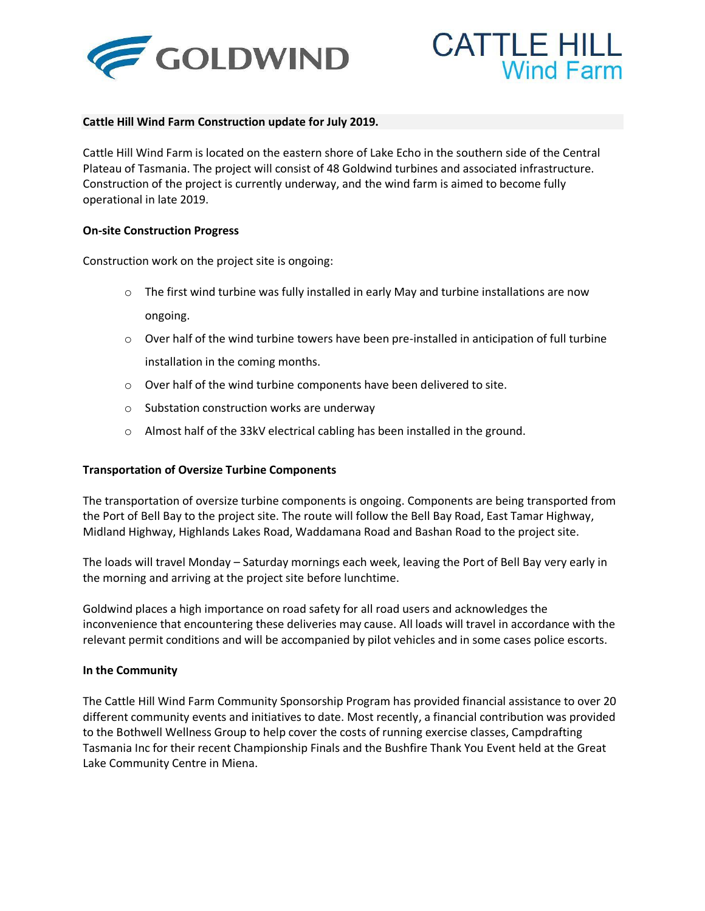



## **Cattle Hill Wind Farm Construction update for July 2019.**

Cattle Hill Wind Farm is located on the eastern shore of Lake Echo in the southern side of the Central Plateau of Tasmania. The project will consist of 48 Goldwind turbines and associated infrastructure. Construction of the project is currently underway, and the wind farm is aimed to become fully operational in late 2019.

## **On-site Construction Progress**

Construction work on the project site is ongoing:

- $\circ$  The first wind turbine was fully installed in early May and turbine installations are now ongoing.
- $\circ$  Over half of the wind turbine towers have been pre-installed in anticipation of full turbine installation in the coming months.
- o Over half of the wind turbine components have been delivered to site.
- o Substation construction works are underway
- o Almost half of the 33kV electrical cabling has been installed in the ground.

## **Transportation of Oversize Turbine Components**

The transportation of oversize turbine components is ongoing. Components are being transported from the Port of Bell Bay to the project site. The route will follow the Bell Bay Road, East Tamar Highway, Midland Highway, Highlands Lakes Road, Waddamana Road and Bashan Road to the project site.

The loads will travel Monday – Saturday mornings each week, leaving the Port of Bell Bay very early in the morning and arriving at the project site before lunchtime.

Goldwind places a high importance on road safety for all road users and acknowledges the inconvenience that encountering these deliveries may cause. All loads will travel in accordance with the relevant permit conditions and will be accompanied by pilot vehicles and in some cases police escorts.

## **In the Community**

The Cattle Hill Wind Farm Community Sponsorship Program has provided financial assistance to over 20 different community events and initiatives to date. Most recently, a financial contribution was provided to the Bothwell Wellness Group to help cover the costs of running exercise classes, Campdrafting Tasmania Inc for their recent Championship Finals and the Bushfire Thank You Event held at the Great Lake Community Centre in Miena.